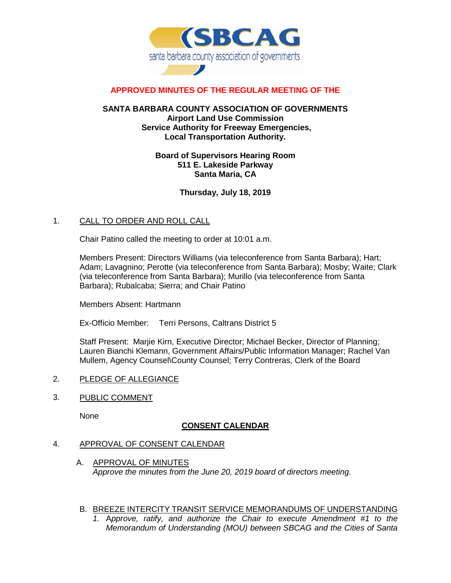

### **APPROVED MINUTES OF THE REGULAR MEETING OF THE**

#### **SANTA BARBARA COUNTY ASSOCIATION OF GOVERNMENTS Airport Land Use Commission Service Authority for Freeway Emergencies, Local Transportation Authority.**

#### **Board of Supervisors Hearing Room 511 E. Lakeside Parkway Santa Maria, CA**

# **Thursday, July 18, 2019**

### 1. CALL TO ORDER AND ROLL CALL

Chair Patino called the meeting to order at 10:01 a.m.

Members Present: Directors Williams (via teleconference from Santa Barbara); Hart; Adam; Lavagnino; Perotte (via teleconference from Santa Barbara); Mosby; Waite; Clark (via teleconference from Santa Barbara); Murillo (via teleconference from Santa Barbara); Rubalcaba; Sierra; and Chair Patino

Members Absent: Hartmann

Ex-Officio Member: Terri Persons, Caltrans District 5

Staff Present: Marjie Kirn, Executive Director; Michael Becker, Director of Planning; Lauren Bianchi Klemann, Government Affairs/Public Information Manager; Rachel Van Mullem, Agency Counsel\County Counsel; Terry Contreras, Clerk of the Board

### 2. PLEDGE OF ALLEGIANCE

3. PUBLIC COMMENT

None

### **CONSENT CALENDAR**

### 4. APPROVAL OF CONSENT CALENDAR

- A. APPROVAL OF MINUTES *Approve the minutes from the June 20, 2019 board of directors meeting.*
- B. BREEZE INTERCITY TRANSIT SERVICE MEMORANDUMS OF UNDERSTANDING
	- *1.* A*pprove, ratify, and authorize the Chair to execute Amendment #1 to the Memorandum of Understanding (MOU) between SBCAG and the Cities of Santa*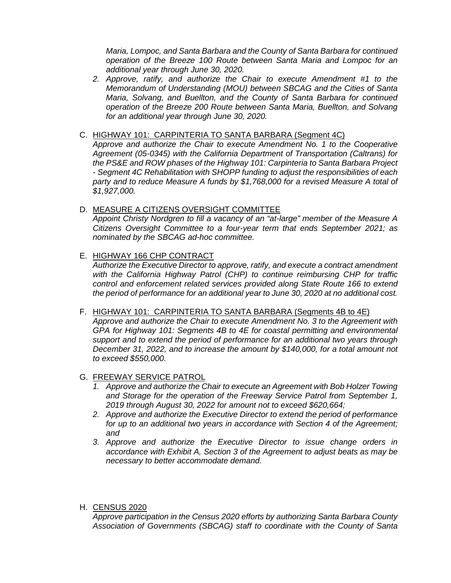*Maria, Lompoc, and Santa Barbara and the County of Santa Barbara for continued operation of the Breeze 100 Route between Santa Maria and Lompoc for an additional year through June 30, 2020.*

- *2. Approve, ratify, and authorize the Chair to execute Amendment #1 to the Memorandum of Understanding (MOU) between SBCAG and the Cities of Santa Maria, Solvang, and Buellton, and the County of Santa Barbara for continued operation of the Breeze 200 Route between Santa Maria, Buellton, and Solvang for an additional year through June 30, 2020.*
- C. HIGHWAY 101: CARPINTERIA TO SANTA BARBARA (Segment 4C)

*Approve and authorize the Chair to execute Amendment No. 1 to the Cooperative Agreement (05-0345) with the California Department of Transportation (Caltrans) for the PS&E and ROW phases of the Highway 101: Carpinteria to Santa Barbara Project - Segment 4C Rehabilitation with SHOPP funding to adjust the responsibilities of each party and to reduce Measure A funds by \$1,768,000 for a revised Measure A total of \$1,927,000.*

# D. MEASURE A CITIZENS OVERSIGHT COMMITTEE

*Appoint Christy Nordgren to fill a vacancy of an "at-large" member of the Measure A Citizens Oversight Committee to a four-year term that ends September 2021; as nominated by the SBCAG ad-hoc committee.* 

# E. HIGHWAY 166 CHP CONTRACT

*Authorize the Executive Director to approve, ratify, and execute a contract amendment with the California Highway Patrol (CHP) to continue reimbursing CHP for traffic control and enforcement related services provided along State Route 166 to extend the period of performance for an additional year to June 30, 2020 at no additional cost.*

# F. HIGHWAY 101: CARPINTERIA TO SANTA BARBARA (Segments 4B to 4E)

*Approve and authorize the Chair to execute Amendment No. 3 to the Agreement with GPA for Highway 101: Segments 4B to 4E for coastal permitting and environmental support and to extend the period of performance for an additional two years through December 31, 2022, and to increase the amount by \$140,000, for a total amount not to exceed \$550,000.*

### G. FREEWAY SERVICE PATROL

- *1. Approve and authorize the Chair to execute an Agreement with Bob Holzer Towing and Storage for the operation of the Freeway Service Patrol from September 1, 2019 through August 30, 2022 for amount not to exceed \$620,664;*
- *2. Approve and authorize the Executive Director to extend the period of performance for up to an additional two years in accordance with Section 4 of the Agreement; and*
- *3. Approve and authorize the Executive Director to issue change orders in accordance with Exhibit A, Section 3 of the Agreement to adjust beats as may be necessary to better accommodate demand.*

### H. CENSUS 2020

*Approve participation in the Census 2020 efforts by authorizing Santa Barbara County Association of Governments (SBCAG) staff to coordinate with the County of Santa*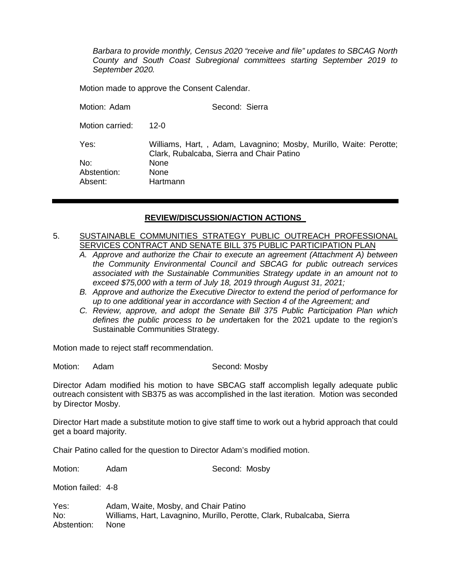*Barbara to provide monthly, Census 2020 "receive and file" updates to SBCAG North County and South Coast Subregional committees starting September 2019 to September 2020.* 

Motion made to approve the Consent Calendar.

| Motion: Adam    | Second: Sierra                                                                                                 |
|-----------------|----------------------------------------------------------------------------------------------------------------|
| Motion carried: | 12-0                                                                                                           |
| Yes:            | Williams, Hart,, Adam, Lavagnino; Mosby, Murillo, Waite: Perotte;<br>Clark, Rubalcaba, Sierra and Chair Patino |
| No:             | <b>None</b>                                                                                                    |
| Abstention:     | None                                                                                                           |
| Absent:         | Hartmann                                                                                                       |

### **REVIEW/DISCUSSION/ACTION ACTIONS**

### 5. SUSTAINABLE COMMUNITIES STRATEGY PUBLIC OUTREACH PROFESSIONAL SERVICES CONTRACT AND SENATE BILL 375 PUBLIC PARTICIPATION PLAN

- *A. Approve and authorize the Chair to execute an agreement (Attachment A) between the Community Environmental Council and SBCAG for public outreach services associated with the Sustainable Communities Strategy update in an amount not to exceed \$75,000 with a term of July 18, 2019 through August 31, 2021;*
- *B. Approve and authorize the Executive Director to extend the period of performance for up to one additional year in accordance with Section 4 of the Agreement; and*
- *C. Review, approve, and adopt the Senate Bill 375 Public Participation Plan which defines the public process to be und*ertaken for the 2021 update to the region's Sustainable Communities Strategy.

Motion made to reject staff recommendation.

Motion: Adam Second: Mosby

Director Adam modified his motion to have SBCAG staff accomplish legally adequate public outreach consistent with SB375 as was accomplished in the last iteration. Motion was seconded by Director Mosby.

Director Hart made a substitute motion to give staff time to work out a hybrid approach that could get a board majority.

Chair Patino called for the question to Director Adam's modified motion.

Motion: Adam Second: Mosby

Motion failed: 4-8

Yes: Adam, Waite, Mosby, and Chair Patino No: Williams, Hart, Lavagnino, Murillo, Perotte, Clark, Rubalcaba, Sierra Abstention: None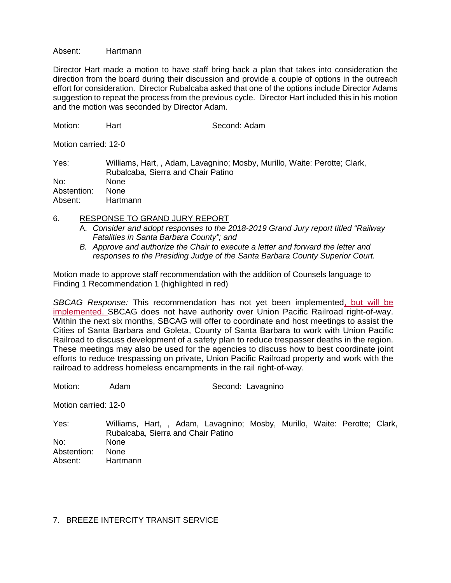Absent: Hartmann

Director Hart made a motion to have staff bring back a plan that takes into consideration the direction from the board during their discussion and provide a couple of options in the outreach effort for consideration. Director Rubalcaba asked that one of the options include Director Adams suggestion to repeat the process from the previous cycle. Director Hart included this in his motion and the motion was seconded by Director Adam.

| Motion:              | Hart                               | Second: Adam                                                             |  |  |
|----------------------|------------------------------------|--------------------------------------------------------------------------|--|--|
| Motion carried: 12-0 |                                    |                                                                          |  |  |
| Yes:                 | Rubalcaba, Sierra and Chair Patino | Williams, Hart,, Adam, Lavagnino; Mosby, Murillo, Waite: Perotte; Clark, |  |  |
| No:                  | None                               |                                                                          |  |  |
| Abstention:          | None                               |                                                                          |  |  |
| Absent:              | Hartmann                           |                                                                          |  |  |

- 6. RESPONSE TO GRAND JURY REPORT
	- A. *Consider and adopt responses to the 2018-2019 Grand Jury report titled "Railway Fatalities in Santa Barbara County"; and*
	- *B. Approve and authorize the Chair to execute a letter and forward the letter and responses to the Presiding Judge of the Santa Barbara County Superior Court.*

Motion made to approve staff recommendation with the addition of Counsels language to Finding 1 Recommendation 1 (highlighted in red)

*SBCAG Response:* This recommendation has not yet been implemented, but will be implemented. SBCAG does not have authority over Union Pacific Railroad right-of-way. Within the next six months, SBCAG will offer to coordinate and host meetings to assist the Cities of Santa Barbara and Goleta, County of Santa Barbara to work with Union Pacific Railroad to discuss development of a safety plan to reduce trespasser deaths in the region. These meetings may also be used for the agencies to discuss how to best coordinate joint efforts to reduce trespassing on private, Union Pacific Railroad property and work with the railroad to address homeless encampments in the rail right-of-way.

Motion: Adam Second: Lavagnino

Motion carried: 12-0

Yes: Williams, Hart, , Adam, Lavagnino; Mosby, Murillo, Waite: Perotte; Clark, Rubalcaba, Sierra and Chair Patino No: None Abstention: None Absent: Hartmann

### 7. BREEZE INTERCITY TRANSIT SERVICE